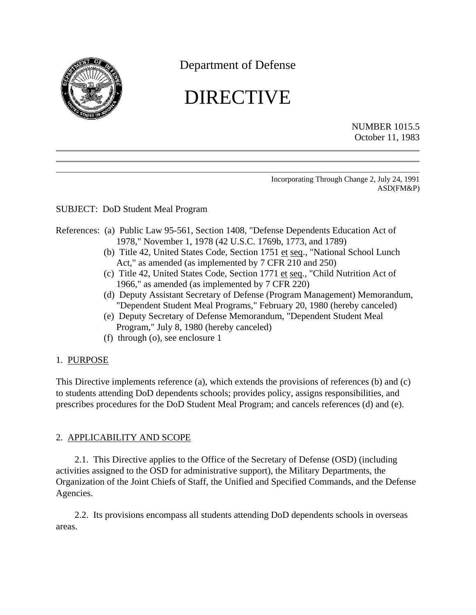

## Department of Defense

# DIRECTIVE

NUMBER 1015.5 October 11, 1983

Incorporating Through Change 2, July 24, 1991 ASD(FM&P)

### SUBJECT: DoD Student Meal Program

#### <span id="page-0-1"></span><span id="page-0-0"></span>References: (a) Public Law 95-561, Section 1408, "Defense Dependents Education Act of 1978," November 1, 1978 (42 U.S.C. 1769b, 1773, and 1789)

- (b) Title 42, United States Code, Section 1751 et seq., "National School Lunch Act," as amended (as implemented by 7 CFR 210 and 250)
- (c) Title 42, United States Code, Section 1771 et seq., "Child Nutrition Act of 1966," as amended (as implemented by 7 CFR 220)
- (d) Deputy Assistant Secretary of Defense (Program Management) Memorandum, "Dependent Student Meal Programs," February 20, 1980 (hereby canceled)
- (e) Deputy Secretary of Defense Memorandum, "Dependent Student Meal Program," July 8, 1980 (hereby canceled)
- (f) through (o), see enclosure 1

#### 1. PURPOSE

This Directive implements reference (a), which extends the provisions of references (b) and (c) to students attending DoD dependents schools; provides policy, assigns responsibilities, and prescribes procedures for the DoD Student Meal Program; and cancels references (d) and (e).

#### 2. APPLICABILITY AND SCOPE

2.1. This Directive applies to the Office of the Secretary of Defense (OSD) (including activities assigned to the OSD for administrative support), the Military Departments, the Organization of the Joint Chiefs of Staff, the Unified and Specified Commands, and the Defense Agencies.

2.2. Its provisions encompass all students attending DoD dependents schools in overseas areas.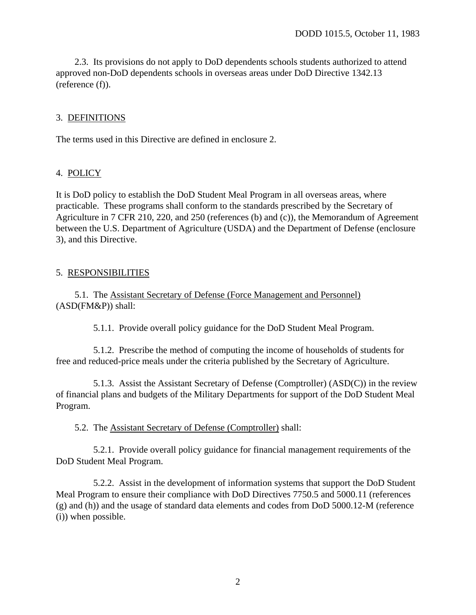2.3. Its provisions do not apply to DoD dependents schools students authorized to attend approved non-DoD dependents schools in overseas areas under DoD Directive 1342.13 (reference (f)).

#### 3. DEFINITIONS

The terms used in this Directive are defined in enclosure 2.

#### 4. POLICY

It is DoD policy to establish the DoD Student Meal Program in all overseas areas, where practicable. These programs shall conform to the standards prescribed by the Secretary of Agriculture in 7 CFR 210, 220, and 250 (references (b) and (c)), the Memorandum of Agreement between the U.S. Department of Agriculture (USDA) and the Department of Defense (enclosure 3), and this Directive.

#### 5. RESPONSIBILITIES

5.1. The Assistant Secretary of Defense (Force Management and Personnel) (ASD(FM&P)) shall:

5.1.1. Provide overall policy guidance for the DoD Student Meal Program.

5.1.2. Prescribe the method of computing the income of households of students for free and reduced-price meals under the criteria published by the Secretary of Agriculture.

5.1.3. Assist the Assistant Secretary of Defense (Comptroller) (ASD(C)) in the review of financial plans and budgets of the Military Departments for support of the DoD Student Meal Program.

5.2. The Assistant Secretary of Defense (Comptroller) shall:

5.2.1. Provide overall policy guidance for financial management requirements of the DoD Student Meal Program.

5.2.2. Assist in the development of information systems that support the DoD Student Meal Program to ensure their compliance with DoD Directives 7750.5 and 5000.11 (references [\(g\)](#page-7-0) and [\(h\)\)](#page-7-1) and the usage of standard data elements and codes from DoD 5000.12-M [\(reference](#page-7-2) [\(i\)\)](#page-7-2) when possible.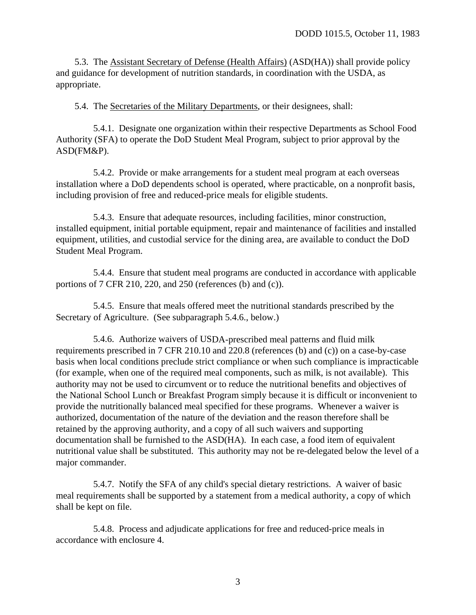5.3. The Assistant Secretary of Defense (Health Affairs) (ASD(HA)) shall provide policy and guidance for development of nutrition standards, in coordination with the USDA, as appropriate.

5.4. The Secretaries of the Military Departments, or their designees, shall:

5.4.1. Designate one organization within their respective Departments as School Food Authority (SFA) to operate the DoD Student Meal Program, subject to prior approval by the ASD(FM&P).

5.4.2. Provide or make arrangements for a student meal program at each overseas installation where a DoD dependents school is operated, where practicable, on a nonprofit basis, including provision of free and reduced-price meals for eligible students.

5.4.3. Ensure that adequate resources, including facilities, minor construction, installed equipment, initial portable equipment, repair and maintenance of facilities and installed equipment, utilities, and custodial service for the dining area, are available to conduct the DoD Student Meal Program.

5.4.4. Ensure that student meal programs are conducted in accordance with applicable portions of 7 CFR 210, 220, and 250 (references [\(b\)](#page-0-0) and [\(c\)\).](#page-0-1)

Secretary of Agriculture. (See [subparagraph 5.4.6.,](#page-2-0) below.) 5.4.5. Ensure that meals offered meet the nutritional standards prescribed by the

<span id="page-2-0"></span>5.4.6. Authorize waivers of USDA-prescribed meal patterns and fluid milk requirements prescribed in 7 CFR 210.10 and 220.8 (references [\(b\)](#page-0-0) and [\(c\)\)](#page-0-1) on a case-by-case basis when local conditions preclude strict compliance or when such compliance is impracticable (for example, when one of the required meal components, such as milk, is not available). This authority may not be used to circumvent or to reduce the nutritional benefits and objectives of the National School Lunch or Breakfast Program simply because it is difficult or inconvenient to provide the nutritionally balanced meal specified for these programs. Whenever a waiver is authorized, documentation of the nature of the deviation and the reason therefore shall be retained by the approving authority, and a copy of all such waivers and supporting documentation shall be furnished to the ASD(HA). In each case, a food item of equivalent nutritional value shall be substituted. This authority may not be re-delegated below the level of a major commander.

5.4.7. Notify the SFA of any child's special dietary restrictions. A waiver of basic meal requirements shall be supported by a statement from a medical authority, a copy of which shall be kept on file.

5.4.8. Process and adjudicate applications for free and reduced-price meals in accordance with enclosure 4.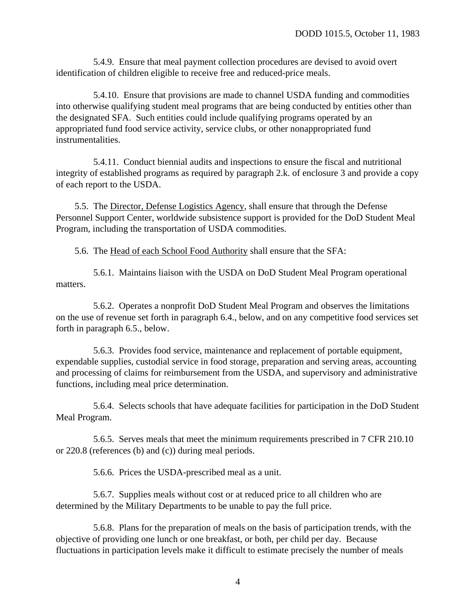5.4.9. Ensure that meal payment collection procedures are devised to avoid overt identification of children eligible to receive free and reduced-price meals.

5.4.10. Ensure that provisions are made to channel USDA funding and commodities into otherwise qualifying student meal programs that are being conducted by entities other than the designated SFA. Such entities could include qualifying programs operated by an appropriated fund food service activity, service clubs, or other nonappropriated fund instrumentalities.

5.4.11. Conduct biennial audits and inspections to ensure the fiscal and nutritional integrity of established programs as required by paragraph 2.k. of enclosure 3 and provide a copy of each report to the USDA.

5.5. The Director, Defense Logistics Agency, shall ensure that through the Defense Personnel Support Center, worldwide subsistence support is provided for the DoD Student Meal Program, including the transportation of USDA commodities.

5.6. The Head of each School Food Authority shall ensure that the SFA:

5.6.1. Maintains liaison with the USDA on DoD Student Meal Program operational matters.

5.6.2. Operates a nonprofit DoD Student Meal Program and observes the limitations on the use of revenue set forth in paragraph 6.4., below, and on any competitive food services set forth in paragraph 6.5., below.

5.6.3. Provides food service, maintenance and replacement of portable equipment, expendable supplies, custodial service in food storage, preparation and serving areas, accounting and processing of claims for reimbursement from the USDA, and supervisory and administrative functions, including meal price determination.

5.6.4. Selects schools that have adequate facilities for participation in the DoD Student Meal Program.

5.6.5. Serves meals that meet the minimum requirements prescribed in 7 CFR 210.10 or 220.8 (references (b) and (c)) during meal periods.

5.6.6. Prices the USDA-prescribed meal as a unit.

5.6.7. Supplies meals without cost or at reduced price to all children who are determined by the Military Departments to be unable to pay the full price.

5.6.8. Plans for the preparation of meals on the basis of participation trends, with the objective of providing one lunch or one breakfast, or both, per child per day. Because fluctuations in participation levels make it difficult to estimate precisely the number of meals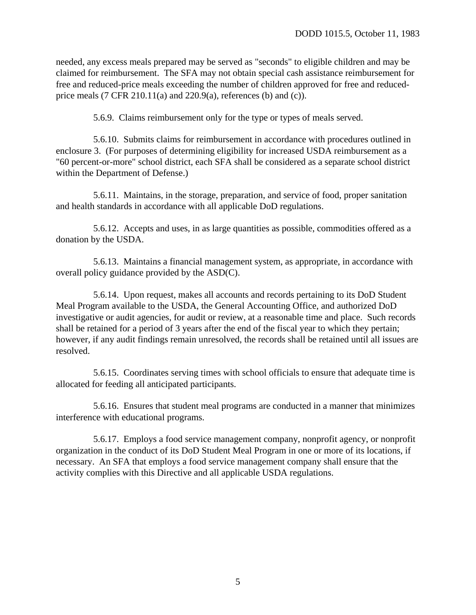needed, any excess meals prepared may be served as "seconds" to eligible children and may be claimed for reimbursement. The SFA may not obtain special cash assistance reimbursement for free and reduced-price meals exceeding the number of children approved for free and reducedprice meals  $(7 \text{ CFR } 210.11(a)$  and  $220.9(a)$ , references [\(b\)](#page-0-0) and [\(c\)\).](#page-0-1)

5.6.9. Claims reimbursement only for the type or types of meals served.

5.6.10. Submits claims for reimbursement in accordance with procedures outlined in [enclosure 3.](#page-11-0) (For purposes of determining eligibility for increased USDA reimbursement as a "60 percent-or-more" school district, each SFA shall be considered as a separate school district within the Department of Defense.)

5.6.11. Maintains, in the storage, preparation, and service of food, proper sanitation and health standards in accordance with all applicable DoD regulations.

5.6.12. Accepts and uses, in as large quantities as possible, commodities offered as a donation by the USDA.

5.6.13. Maintains a financial management system, as appropriate, in accordance with overall policy guidance provided by the ASD(C).

5.6.14. Upon request, makes all accounts and records pertaining to its DoD Student Meal Program available to the USDA, the General Accounting Office, and authorized DoD investigative or audit agencies, for audit or review, at a reasonable time and place. Such records shall be retained for a period of 3 years after the end of the fiscal year to which they pertain; however, if any audit findings remain unresolved, the records shall be retained until all issues are resolved.

5.6.15. Coordinates serving times with school officials to ensure that adequate time is allocated for feeding all anticipated participants.

5.6.16. Ensures that student meal programs are conducted in a manner that minimizes interference with educational programs.

5.6.17. Employs a food service management company, nonprofit agency, or nonprofit organization in the conduct of its DoD Student Meal Program in one or more of its locations, if necessary. An SFA that employs a food service management company shall ensure that the activity complies with this Directive and all applicable USDA regulations.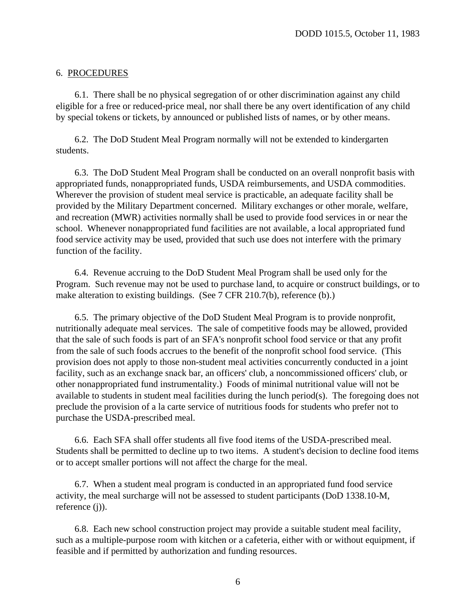#### 6. PROCEDURES

6.1. There shall be no physical segregation of or other discrimination against any child eligible for a free or reduced-price meal, nor shall there be any overt identification of any child by special tokens or tickets, by announced or published lists of names, or by other means.

6.2. The DoD Student Meal Program normally will not be extended to kindergarten students.

6.3. The DoD Student Meal Program shall be conducted on an overall nonprofit basis with appropriated funds, nonappropriated funds, USDA reimbursements, and USDA commodities. Wherever the provision of student meal service is practicable, an adequate facility shall be provided by the Military Department concerned. Military exchanges or other morale, welfare, and recreation (MWR) activities normally shall be used to provide food services in or near the school. Whenever nonappropriated fund facilities are not available, a local appropriated fund food service activity may be used, provided that such use does not interfere with the primary function of the facility.

6.4. Revenue accruing to the DoD Student Meal Program shall be used only for the Program. Such revenue may not be used to purchase land, to acquire or construct buildings, or to make alteration to existing buildings. (See 7 CFR 210.7(b), [reference](#page-0-0) (b).)

6.5. The primary objective of the DoD Student Meal Program is to provide nonprofit, nutritionally adequate meal services. The sale of competitive foods may be allowed, provided that the sale of such foods is part of an SFA's nonprofit school food service or that any profit from the sale of such foods accrues to the benefit of the nonprofit school food service. (This provision does not apply to those non-student meal activities concurrently conducted in a joint facility, such as an exchange snack bar, an officers' club, a noncommissioned officers' club, or other nonappropriated fund instrumentality.) Foods of minimal nutritional value will not be available to students in student meal facilities during the lunch period(s). The foregoing does not preclude the provision of a la carte service of nutritious foods for students who prefer not to purchase the USDA-prescribed meal.

6.6. Each SFA shall offer students all five food items of the USDA-prescribed meal. Students shall be permitted to decline up to two items. A student's decision to decline food items or to accept smaller portions will not affect the charge for the meal.

6.7. When a student meal program is conducted in an appropriated fund food service activity, the meal surcharge will not be assessed to student participants (DoD 1338.10-M, reference (j)).

6.8. Each new school construction project may provide a suitable student meal facility, such as a multiple-purpose room with kitchen or a cafeteria, either with or without equipment, if feasible and if permitted by authorization and funding resources.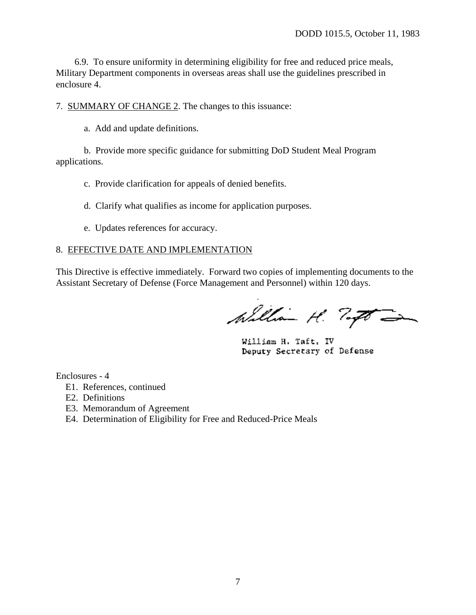6.9. To ensure uniformity in determining eligibility for free and reduced price meals, Military Department components in overseas areas shall use the guidelines prescribed in enclosure 4.

7. SUMMARY OF CHANGE 2. The changes to this issuance:

a. Add and update definitions.

 b. Provide more specific guidance for submitting DoD Student Meal Program applications.

c. Provide clarification for appeals of denied benefits.

d. Clarify what qualifies as income for application purposes.

e. Updates references for accuracy.

#### 8. EFFECTIVE DATE AND IMPLEMENTATION

This Directive is effective immediately. Forward two copies of implementing documents to the Assistant Secretary of Defense (Force Management and Personnel) within 120 days.

William H. Togo

William H. Taft, IV Deputy Secretary of Defense

Enclosures - 4

- E1. References, continued
- E2. Definitions
- E3. Memorandum of Agreement
- E4. Determination of Eligibility for Free and Reduced-Price Meals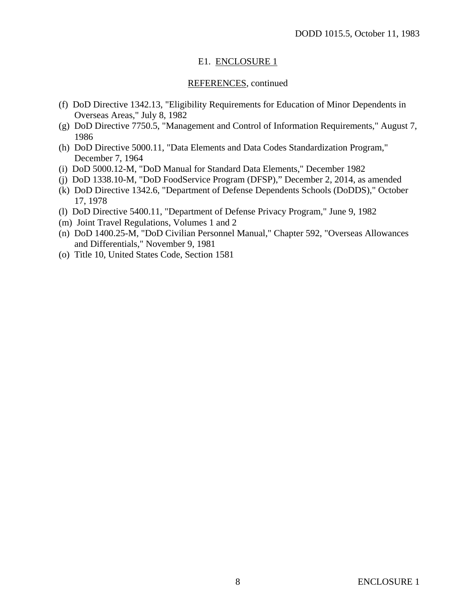#### E1. ENCLOSURE 1

#### REFERENCES, continued

- (f) DoD Directive 1342.13, "Eligibility Requirements for Education of Minor Dependents in Overseas Areas," July 8, 1982
- <span id="page-7-0"></span>(g) DoD Directive 7750.5, "Management and Control of Information Requirements," August 7, 1986
- <span id="page-7-1"></span>(h) DoD Directive 5000.11, "Data Elements and Data Codes Standardization Program," December 7, 1964
- <span id="page-7-2"></span>(i) DoD 5000.12-M, "DoD Manual for Standard Data Elements," December 1982
- (j) DoD 1338.10-M, "DoD FoodService Program (DFSP)," December 2, 2014, as amended
- (k) DoD Directive 1342.6, "Department of Defense Dependents Schools (DoDDS)," October 17, 1978
- (l) DoD Directive 5400.11, "Department of Defense Privacy Program," June 9, 1982
- (m) Joint Travel Regulations, Volumes 1 and 2
- (n) DoD 1400.25-M, "DoD Civilian Personnel Manual," Chapter 592, "Overseas Allowances and Differentials," November 9, 1981
- (o) Title 10, United States Code, Section 1581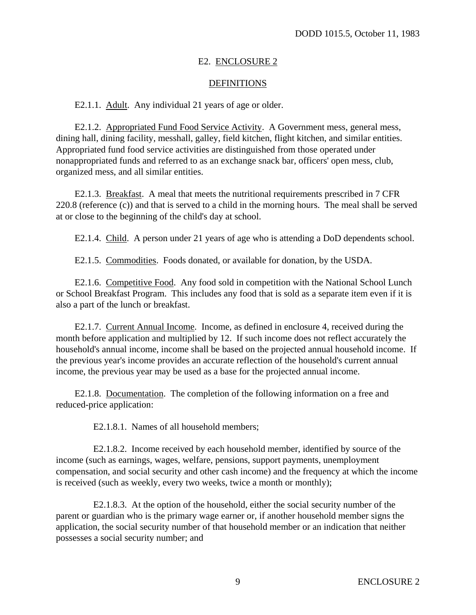#### E2. ENCLOSURE 2

#### **DEFINITIONS**

E2.1.1. Adult. Any individual 21 years of age or older.

E2.1.2. Appropriated Fund Food Service Activity. A Government mess, general mess, dining hall, dining facility, messhall, galley, field kitchen, flight kitchen, and similar entities. Appropriated fund food service activities are distinguished from those operated under nonappropriated funds and referred to as an exchange snack bar, officers' open mess, club, organized mess, and all similar entities.

E2.1.3. Breakfast. A meal that meets the nutritional requirements prescribed in 7 CFR 220.8 (reference (c)) and that is served to a child in the morning hours. The meal shall be served at or close to the beginning of the child's day at school.

E2.1.4. Child. A person under 21 years of age who is attending a DoD dependents school.

E2.1.5. Commodities. Foods donated, or available for donation, by the USDA.

E2.1.6. Competitive Food. Any food sold in competition with the National School Lunch or School Breakfast Program. This includes any food that is sold as a separate item even if it is also a part of the lunch or breakfast.

E2.1.7. Current Annual Income. Income, as defined in enclosure 4, received during the month before application and multiplied by 12. If such income does not reflect accurately the household's annual income, income shall be based on the projected annual household income. If the previous year's income provides an accurate reflection of the household's current annual income, the previous year may be used as a base for the projected annual income.

<span id="page-8-0"></span>E2.1.8. Documentation. The completion of the following information on a free and reduced-price application:

E2.1.8.1. Names of all household members;

E2.1.8.2. Income received by each household member, identified by source of the income (such as earnings, wages, welfare, pensions, support payments, unemployment compensation, and social security and other cash income) and the frequency at which the income is received (such as weekly, every two weeks, twice a month or monthly);

E2.1.8.3. At the option of the household, either the social security number of the parent or guardian who is the primary wage earner or, if another household member signs the application, the social security number of that household member or an indication that neither possesses a social security number; and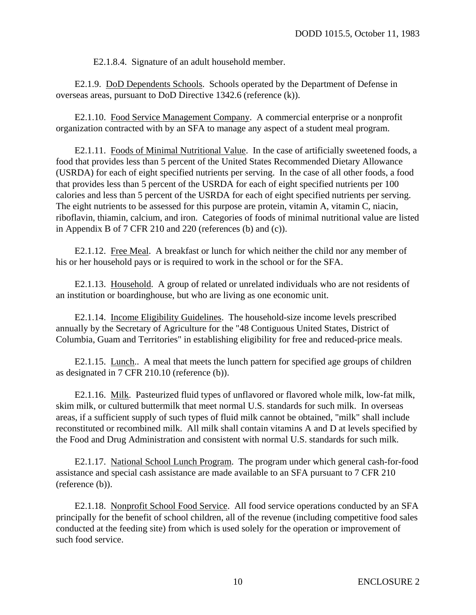E2.1.8.4. Signature of an adult household member.

E2.1.9. DoD Dependents Schools. Schools operated by the Department of Defense in overseas areas, pursuant to DoD Directive 1342.6 (reference (k)).

E2.1.10. Food Service Management Company. A commercial enterprise or a nonprofit organization contracted with by an SFA to manage any aspect of a student meal program.

E2.1.11. Foods of Minimal Nutritional Value. In the case of artificially sweetened foods, a food that provides less than 5 percent of the United States Recommended Dietary Allowance (USRDA) for each of eight specified nutrients per serving. In the case of all other foods, a food that provides less than 5 percent of the USRDA for each of eight specified nutrients per 100 calories and less than 5 percent of the USRDA for each of eight specified nutrients per serving. The eight nutrients to be assessed for this purpose are protein, vitamin A, vitamin C, niacin, riboflavin, thiamin, calcium, and iron. Categories of foods of minimal nutritional value are listed in Appendix B of 7 CFR 210 and 220 (references (b) and (c)).

E2.1.12. Free Meal. A breakfast or lunch for which neither the child nor any member of his or her household pays or is required to work in the school or for the SFA.

E2.1.13. Household. A group of related or unrelated individuals who are not residents of an institution or boardinghouse, but who are living as one economic unit.

E2.1.14. Income Eligibility Guidelines. The household-size income levels prescribed annually by the Secretary of Agriculture for the "48 Contiguous United States, District of Columbia, Guam and Territories" in establishing eligibility for free and reduced-price meals.

E2.1.15. Lunch.. A meal that meets the lunch pattern for specified age groups of children as designated in 7 CFR 210.10 (reference (b)).

E2.1.16. Milk. Pasteurized fluid types of unflavored or flavored whole milk, low-fat milk, skim milk, or cultured buttermilk that meet normal U.S. standards for such milk. In overseas areas, if a sufficient supply of such types of fluid milk cannot be obtained, "milk" shall include reconstituted or recombined milk. All milk shall contain vitamins A and D at levels specified by the Food and Drug Administration and consistent with normal U.S. standards for such milk.

E2.1.17. National School Lunch Program. The program under which general cash-for-food assistance and special cash assistance are made available to an SFA pursuant to 7 CFR 210 [\(reference](#page-0-0) (b)).

E2.1.18. Nonprofit School Food Service. All food service operations conducted by an SFA principally for the benefit of school children, all of the revenue (including competitive food sales conducted at the feeding site) from which is used solely for the operation or improvement of such food service.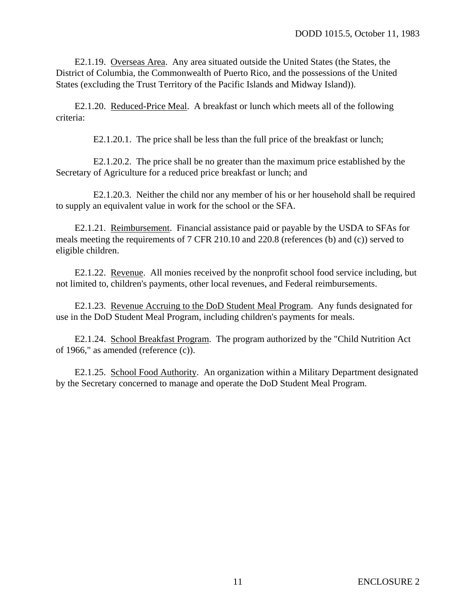E2.1.19. Overseas Area. Any area situated outside the United States (the States, the District of Columbia, the Commonwealth of Puerto Rico, and the possessions of the United States (excluding the Trust Territory of the Pacific Islands and Midway Island)).

E2.1.20. Reduced-Price Meal. A breakfast or lunch which meets all of the following criteria:

E2.1.20.1. The price shall be less than the full price of the breakfast or lunch;

E2.1.20.2. The price shall be no greater than the maximum price established by the Secretary of Agriculture for a reduced price breakfast or lunch; and

E2.1.20.3. Neither the child nor any member of his or her household shall be required to supply an equivalent value in work for the school or the SFA.

E2.1.21. Reimbursement. Financial assistance paid or payable by the USDA to SFAs for meals meeting the requirements of 7 CFR 210.10 and 220.8 (references (b) and (c)) served to eligible children.

E2.1.22. Revenue. All monies received by the nonprofit school food service including, but not limited to, children's payments, other local revenues, and Federal reimbursements.

E2.1.23. Revenue Accruing to the DoD Student Meal Program. Any funds designated for use in the DoD Student Meal Program, including children's payments for meals.

E2.1.24. School Breakfast Program. The program authorized by the "Child Nutrition Act of 1966," as amended (reference (c)).

E2.1.25. School Food Authority. An organization within a Military Department designated by the Secretary concerned to manage and operate the DoD Student Meal Program.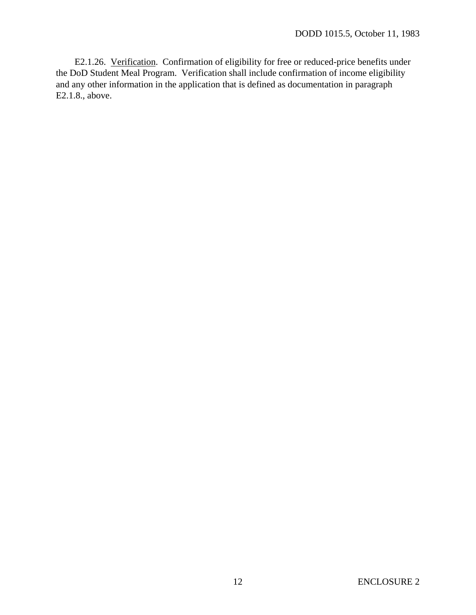<span id="page-11-0"></span>E2.1.26. Verification. Confirmation of eligibility for free or reduced-price benefits under the DoD Student Meal Program. Verification shall include confirmation of income eligibility and any other information in the application that is defined as documentation in [paragraph](#page-8-0) [E2.1.8.,](#page-8-0) above.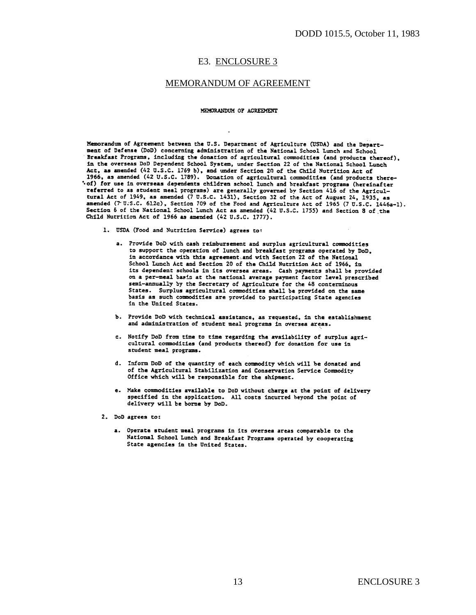#### E3. ENCLOSURE 3

#### MEMORANDUM OF AGREEMENT

#### MEMORANDUM OF AGREEMENT

Memorandum of Agreement between the U.S. Department of Agriculture (USDA) and the Department of Defense (DoD) concerning administration of the National School Lunch and School Breakfast Programs, including the donation of agricultural commodities (and products thereof). in the overseas DoD Dependent School System, under Section 22 of the National School Lunch Act, as amended (42 U.S.C. 1769 b), and under Section 20 of the Child Nutrition Act of 1966, as amended (42 U.S.C. 1789). Donation of agricultural commodities (and products there-<br>1966, as amended (42 U.S.C. 1789). Donation of agricultural commodities (and products there-"of) for use in overseas dependents children school lunch and breakfast programs (hereinafter referred to as student meal programs) are generally governed by Section 416 of the Agricultural Act of 1949, as amended (7 U.S.C. 1431), Section 32 of the Act of August 24, 1935, as amended (7 U.S.C. 612c), Section 709 of the Food and Agriculture Act of 1965 (7 U.S.C. 1446a-1). Section 6 of the National School Lunch Act as amended (42 U.S.C. 1755) and Section 8 of the Child Nutrition Act of 1966 as amended (42 U.S.C. 1777).

- 1. USDA (Food and Nutrition Service) agrees to:
	- a. Provide DoD with cash reimbursement and surplus agricultural commodities to support the operation of lunch and breakfast programs operated by DoD. in accordance with this agreement and with Section 22 of the National School Lunch Act and Section 20 of the Child Nutrition Act of 1966, in its dependent schools in its oversea areas. Cash payments shall be provided on a per-meal basis at the national average payment factor level prescribed semi-annually by the Secretary of Agriculture for the 48 conterminous States. Surplus agricultural commodities shall be provided on the same basis as such commodities are provided to participating State agencies in the United States.
	- b. Provide DoD with technical assistance, as requested, in the establishment and administration of student meal programs in oversea areas.
	- c. Notify DoD from time to time regarding the availability of surplus agricultural commodities (and products thereof) for donation for use in student meal programs.
	- d. Inform DoD of the quantity of each commodity which will be donated and of the Agricultural Stabilization and Conservation Service Commodity Office which will be responsible for the shipment.
	- e. Make commodities available to DoD without charge at the point of delivery specified in the application. All costs incurred beyond the point of delivery will be borne by DoD.
- 2. DoD agrees to:
	- a. Operate student meal programs in its oversea areas comparable to the National School Lunch and Breakfast Programs operated by cooperating State agencies in the United States.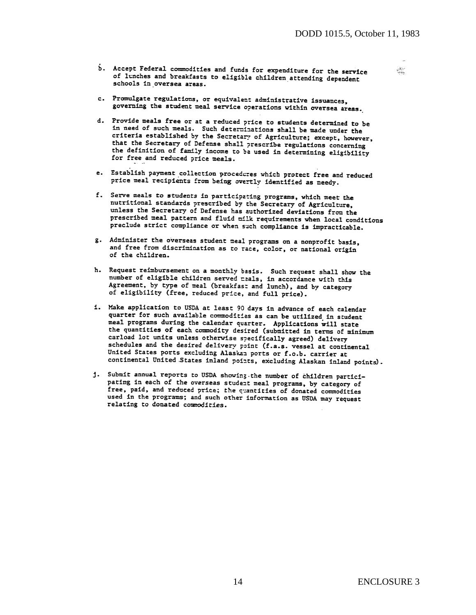b. Accept Federal commodities and funds for expenditure for the service of lunches and breakfasts to eligible children attending dependent schools in oversea areas.

灙

- c. Promulgate regulations, or equivalent administrative issuances, governing the student meal service operations within oversea areas.
- d. Provide meals free or at a reduced price to students determined to be in need of such meals. Such determinations shall be made under the criteria established by the Secretary of Agriculture; except, however, that the Secretary of Defense shall prescribe regulations concerning<br>the definition of Defense shall prescribe regulations concerning the definition of family income to be used in determining eligibility for free and reduced price meals.
- e. Establish payment collection procedures which protect free and reduced price meal recipients from being overtly identified as needy.
- f. Serve meals to students in participating programs, which meet the nutritional standards prescribed by the Secretary of Agriculture, unless the Secretary of Defense has authorized deviations from the prescribed meal pattern and fluid milk requirements when local conditions preclude strict compliance or when such compliance is impracticable.
- g. Administer the overseas student meal programs on a nonprofit basis, and free from discrimination as to race, color, or national origin of the children.
- h. Request reimbursement on a monthly basis. Such request shall show the<br>number of eligible children served reals, in accordance with this<br>Agreement, by type of meal (breakfast and lunch), and by category<br>of eligibility (f of eligibility (free, reduced price, and full price).
- i. Make application to USDA at least 90 days in advance of each calendar quarter for such available commodities as can be utilized in student meal programs during the calendar quarter. Applications will state the quantities of each commodity desired (submitted in terms of minimum carload lot units unless otherwise specifically agreed) delivery schedules and the desired delivery point (f.a.s. vessel at continental United States ports excluding Alaskan ports or f.o.b. carrier at continental United States inland points, excluding Alaskan inland points).
- j. Submit annual reports to USDA showing the number of children participating in each of the overseas student meal programs, by category of free, paid, and reduced price; the cuantities of donated commodities used in the programs; and such other information as USDA may request relating to donated commodities.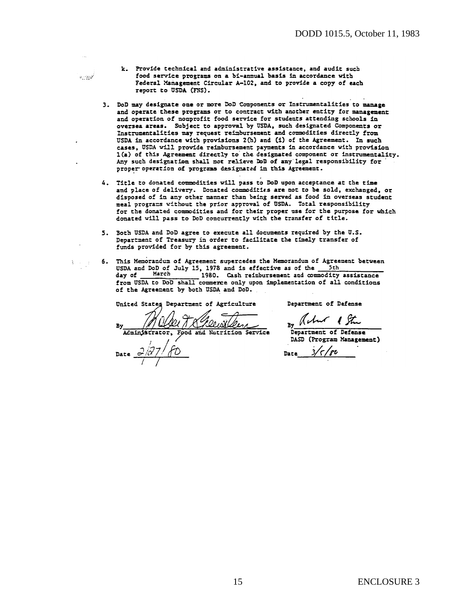- k. Provide technical and administrative assistance, and audit such food service programs on a bi-annual basis in accordance with Federal Management Circular A-102, and to provide a copy of each report to USDA (FNS).
- 3. DoD may designate one or more DoD Components or Instrumentalities to manage and operate these programs or to contract with another entity for management and operation of nonprofit food service for students attending schools in oversea areas. Subject to approval by USDA, such designated Components or Instrumentalities may request reimbursement and commodities directly from USDA in accordance with provisions 2(h) and (i) of the Agreement. In such cases, USDA will provide reimbursement payments in accordance with provision 1(a) of this Agreement directly to the designated component or instrumentality. Any such designation shall not relieve DoD of any legal responsibility for proper operation of programs designated in this Agreement.
- 4. Title to donated commodities will pass to DoD upon acceptance at the time and place of delivery. Donated commodities are not to be sold, exchanged, or disposed of in any other manner than being served as food in overseas student meal programs without the prior approval of USDA. Total responsibility for the donated commodities and for their proper use for the purpose for which donated will pass to DoD concurrently with the transfer of title.
- 5. Both USDA and DoD agree to execute all documents required by the U.S. Department of Treasury in order to facilitate the timely transfer of funds provided for by this agreement.
- 6. This Memorandum of Agreement supercedes the Memorandum of Agreement between USDA and DoD of July 15, 1978 and is effective as of the 5th day of March 1980. Cash reimbursement and commodity 1980. Cash reimbursement and commodity assistance day of from USDA to DoD shall commerce only upon implementation of all conditions of the Agreement by both USDA and DoD.

United States Department of Agriculture

Department of Defense

21 T & Pleus len Administrator, Food and Nutrition Service

فينوبره

ŧ.  $\sim 10$ 

> By Acht 1 Stre Department of Defense DASD (Program Management)

 $3/5/86$ Date

15 ENCLOSURE 3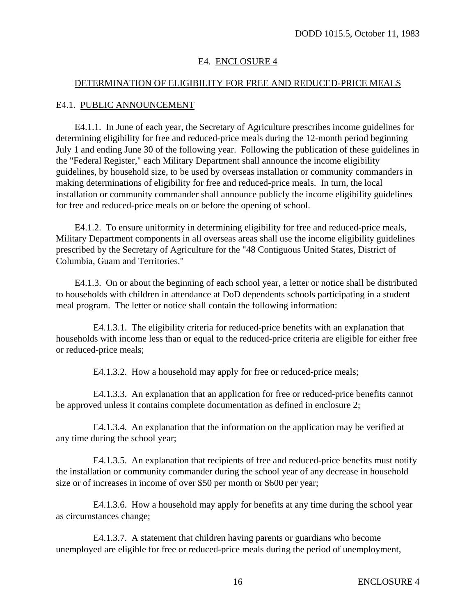#### E4. ENCLOSURE 4

#### DETERMINATION OF ELIGIBILITY FOR FREE AND REDUCED-PRICE MEALS

#### E4.1. PUBLIC ANNOUNCEMENT

E4.1.1. In June of each year, the Secretary of Agriculture prescribes income guidelines for determining eligibility for free and reduced-price meals during the 12-month period beginning July 1 and ending June 30 of the following year. Following the publication of these guidelines in the "Federal Register," each Military Department shall announce the income eligibility guidelines, by household size, to be used by overseas installation or community commanders in making determinations of eligibility for free and reduced-price meals. In turn, the local installation or community commander shall announce publicly the income eligibility guidelines for free and reduced-price meals on or before the opening of school.

E4.1.2. To ensure uniformity in determining eligibility for free and reduced-price meals, Military Department components in all overseas areas shall use the income eligibility guidelines prescribed by the Secretary of Agriculture for the "48 Contiguous United States, District of Columbia, Guam and Territories."

E4.1.3. On or about the beginning of each school year, a letter or notice shall be distributed to households with children in attendance at DoD dependents schools participating in a student meal program. The letter or notice shall contain the following information:

E4.1.3.1. The eligibility criteria for reduced-price benefits with an explanation that households with income less than or equal to the reduced-price criteria are eligible for either free or reduced-price meals;

E4.1.3.2. How a household may apply for free or reduced-price meals;

E4.1.3.3. An explanation that an application for free or reduced-price benefits cannot be approved unless it contains complete documentation as defined in enclosure 2;

E4.1.3.4. An explanation that the information on the application may be verified at any time during the school year;

E4.1.3.5. An explanation that recipients of free and reduced-price benefits must notify the installation or community commander during the school year of any decrease in household size or of increases in income of over \$50 per month or \$600 per year;

E4.1.3.6. How a household may apply for benefits at any time during the school year as circumstances change;

E4.1.3.7. A statement that children having parents or guardians who become unemployed are eligible for free or reduced-price meals during the period of unemployment,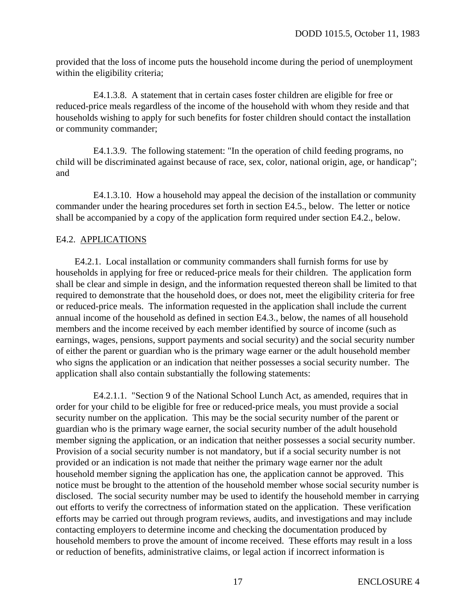provided that the loss of income puts the household income during the period of unemployment within the eligibility criteria;

E4.1.3.8. A statement that in certain cases foster children are eligible for free or reduced-price meals regardless of the income of the household with whom they reside and that households wishing to apply for such benefits for foster children should contact the installation or community commander;

E4.1.3.9. The following statement: "In the operation of child feeding programs, no child will be discriminated against because of race, sex, color, national origin, age, or handicap"; and

E4.1.3.10. How a household may appeal the decision of the installation or community commander under the hearing procedures set forth in section E4.5., below. The letter or notice shall be accompanied by a copy of the application form required under section E4.2., below.

#### E4.2. APPLICATIONS

E4.2.1. Local installation or community commanders shall furnish forms for use by households in applying for free or reduced-price meals for their children. The application form shall be clear and simple in design, and the information requested thereon shall be limited to that required to demonstrate that the household does, or does not, meet the eligibility criteria for free or reduced-price meals. The information requested in the application shall include the current annual income of the household as defined in section E4.3., below, the names of all household members and the income received by each member identified by source of income (such as earnings, wages, pensions, support payments and social security) and the social security number of either the parent or guardian who is the primary wage earner or the adult household member who signs the application or an indication that neither possesses a social security number. The application shall also contain substantially the following statements:

E4.2.1.1. "Section 9 of the National School Lunch Act, as amended, requires that in order for your child to be eligible for free or reduced-price meals, you must provide a social security number on the application. This may be the social security number of the parent or guardian who is the primary wage earner, the social security number of the adult household member signing the application, or an indication that neither possesses a social security number. Provision of a social security number is not mandatory, but if a social security number is not provided or an indication is not made that neither the primary wage earner nor the adult household member signing the application has one, the application cannot be approved. This notice must be brought to the attention of the household member whose social security number is disclosed. The social security number may be used to identify the household member in carrying out efforts to verify the correctness of information stated on the application. These verification efforts may be carried out through program reviews, audits, and investigations and may include contacting employers to determine income and checking the documentation produced by household members to prove the amount of income received. These efforts may result in a loss or reduction of benefits, administrative claims, or legal action if incorrect information is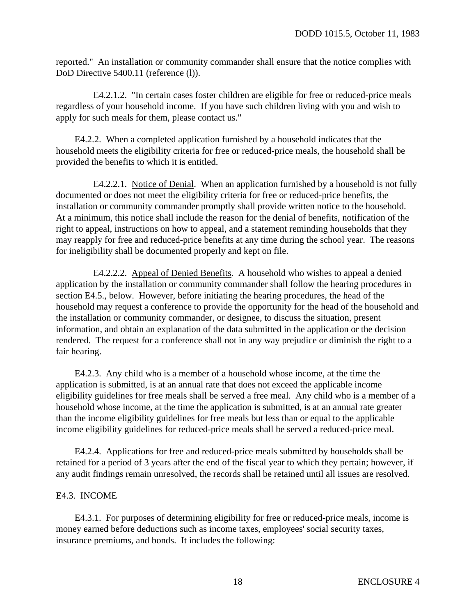reported." An installation or community commander shall ensure that the notice complies with DoD Directive 5400.11 (reference (l)).

E4.2.1.2. "In certain cases foster children are eligible for free or reduced-price meals regardless of your household income. If you have such children living with you and wish to apply for such meals for them, please contact us."

E4.2.2. When a completed application furnished by a household indicates that the household meets the eligibility criteria for free or reduced-price meals, the household shall be provided the benefits to which it is entitled.

E4.2.2.1. Notice of Denial. When an application furnished by a household is not fully documented or does not meet the eligibility criteria for free or reduced-price benefits, the installation or community commander promptly shall provide written notice to the household. At a minimum, this notice shall include the reason for the denial of benefits, notification of the right to appeal, instructions on how to appeal, and a statement reminding households that they may reapply for free and reduced-price benefits at any time during the school year. The reasons for ineligibility shall be documented properly and kept on file.

E4.2.2.2. Appeal of Denied Benefits. A household who wishes to appeal a denied application by the installation or community commander shall follow the hearing procedures in section E4.5., below. However, before initiating the hearing procedures, the head of the household may request a conference to provide the opportunity for the head of the household and the installation or community commander, or designee, to discuss the situation, present information, and obtain an explanation of the data submitted in the application or the decision rendered. The request for a conference shall not in any way prejudice or diminish the right to a fair hearing.

E4.2.3. Any child who is a member of a household whose income, at the time the application is submitted, is at an annual rate that does not exceed the applicable income eligibility guidelines for free meals shall be served a free meal. Any child who is a member of a household whose income, at the time the application is submitted, is at an annual rate greater than the income eligibility guidelines for free meals but less than or equal to the applicable income eligibility guidelines for reduced-price meals shall be served a reduced-price meal.

E4.2.4. Applications for free and reduced-price meals submitted by households shall be retained for a period of 3 years after the end of the fiscal year to which they pertain; however, if any audit findings remain unresolved, the records shall be retained until all issues are resolved.

#### E4.3. INCOME

E4.3.1. For purposes of determining eligibility for free or reduced-price meals, income is money earned before deductions such as income taxes, employees' social security taxes, insurance premiums, and bonds. It includes the following: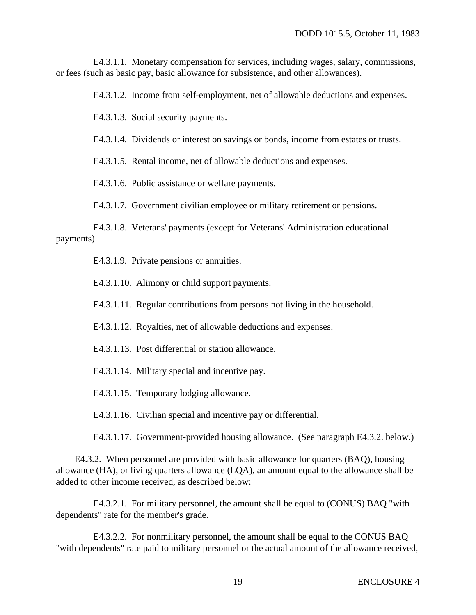E4.3.1.1. Monetary compensation for services, including wages, salary, commissions, or fees (such as basic pay, basic allowance for subsistence, and other allowances).

E4.3.1.2. Income from self-employment, net of allowable deductions and expenses.

E4.3.1.3. Social security payments.

E4.3.1.4. Dividends or interest on savings or bonds, income from estates or trusts.

E4.3.1.5. Rental income, net of allowable deductions and expenses.

E4.3.1.6. Public assistance or welfare payments.

E4.3.1.7. Government civilian employee or military retirement or pensions.

E4.3.1.8. Veterans' payments (except for Veterans' Administration educational payments).

E4.3.1.9. Private pensions or annuities.

E4.3.1.10. Alimony or child support payments.

E4.3.1.11. Regular contributions from persons not living in the household.

E4.3.1.12. Royalties, net of allowable deductions and expenses.

E4.3.1.13. Post differential or station allowance.

E4.3.1.14. Military special and incentive pay.

E4.3.1.15. Temporary lodging allowance.

E4.3.1.16. Civilian special and incentive pay or differential.

E4.3.1.17. Government-provided housing allowance. (See paragraph E4.3.2. below.)

E4.3.2. When personnel are provided with basic allowance for quarters (BAQ), housing allowance (HA), or living quarters allowance (LQA), an amount equal to the allowance shall be added to other income received, as described below:

E4.3.2.1. For military personnel, the amount shall be equal to (CONUS) BAQ "with dependents" rate for the member's grade.

E4.3.2.2. For nonmilitary personnel, the amount shall be equal to the CONUS BAQ "with dependents" rate paid to military personnel or the actual amount of the allowance received,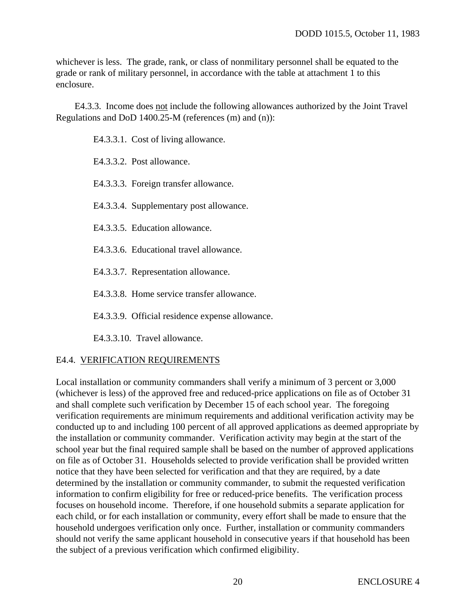whichever is less. The grade, rank, or class of nonmilitary personnel shall be equated to the grade or rank of military personnel, in accordance with the table at attachment 1 to this enclosure.

E4.3.3. Income does not include the following allowances authorized by the Joint Travel Regulations and DoD 1400.25-M (references (m) and (n)):

E4.3.3.1. Cost of living allowance.

E4.3.3.2. Post allowance.

E4.3.3.3. Foreign transfer allowance.

E4.3.3.4. Supplementary post allowance.

E4.3.3.5. Education allowance.

E4.3.3.6. Educational travel allowance.

E4.3.3.7. Representation allowance.

E4.3.3.8. Home service transfer allowance.

E4.3.3.9. Official residence expense allowance.

E4.3.3.10. Travel allowance.

#### E4.4. VERIFICATION REQUIREMENTS

Local installation or community commanders shall verify a minimum of 3 percent or 3,000 (whichever is less) of the approved free and reduced-price applications on file as of October 31 and shall complete such verification by December 15 of each school year. The foregoing verification requirements are minimum requirements and additional verification activity may be conducted up to and including 100 percent of all approved applications as deemed appropriate by the installation or community commander. Verification activity may begin at the start of the school year but the final required sample shall be based on the number of approved applications on file as of October 31. Households selected to provide verification shall be provided written notice that they have been selected for verification and that they are required, by a date determined by the installation or community commander, to submit the requested verification information to confirm eligibility for free or reduced-price benefits. The verification process focuses on household income. Therefore, if one household submits a separate application for each child, or for each installation or community, every effort shall be made to ensure that the household undergoes verification only once. Further, installation or community commanders should not verify the same applicant household in consecutive years if that household has been the subject of a previous verification which confirmed eligibility.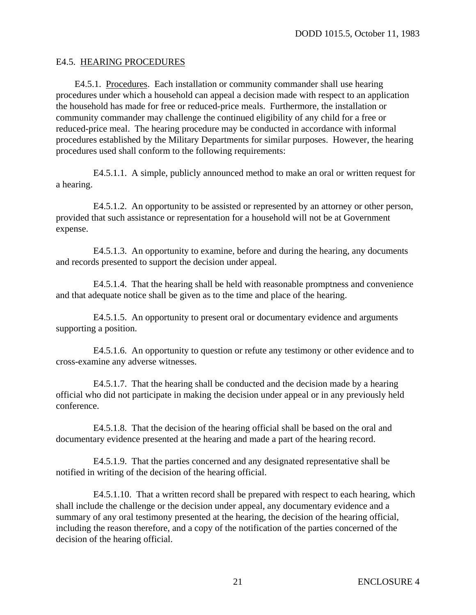#### E4.5. HEARING PROCEDURES

E4.5.1. Procedures. Each installation or community commander shall use hearing procedures under which a household can appeal a decision made with respect to an application the household has made for free or reduced-price meals. Furthermore, the installation or community commander may challenge the continued eligibility of any child for a free or reduced-price meal. The hearing procedure may be conducted in accordance with informal procedures established by the Military Departments for similar purposes. However, the hearing procedures used shall conform to the following requirements:

E4.5.1.1. A simple, publicly announced method to make an oral or written request for a hearing.

E4.5.1.2. An opportunity to be assisted or represented by an attorney or other person, provided that such assistance or representation for a household will not be at Government expense.

E4.5.1.3. An opportunity to examine, before and during the hearing, any documents and records presented to support the decision under appeal.

E4.5.1.4. That the hearing shall be held with reasonable promptness and convenience and that adequate notice shall be given as to the time and place of the hearing.

E4.5.1.5. An opportunity to present oral or documentary evidence and arguments supporting a position.

E4.5.1.6. An opportunity to question or refute any testimony or other evidence and to cross-examine any adverse witnesses.

E4.5.1.7. That the hearing shall be conducted and the decision made by a hearing official who did not participate in making the decision under appeal or in any previously held conference.

E4.5.1.8. That the decision of the hearing official shall be based on the oral and documentary evidence presented at the hearing and made a part of the hearing record.

E4.5.1.9. That the parties concerned and any designated representative shall be notified in writing of the decision of the hearing official.

E4.5.1.10. That a written record shall be prepared with respect to each hearing, which shall include the challenge or the decision under appeal, any documentary evidence and a summary of any oral testimony presented at the hearing, the decision of the hearing official, including the reason therefore, and a copy of the notification of the parties concerned of the decision of the hearing official.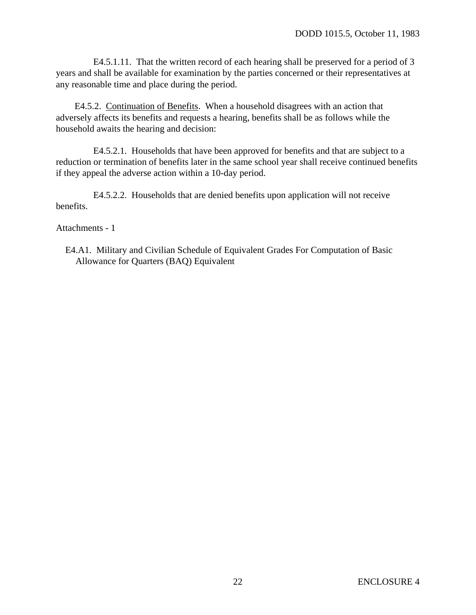E4.5.1.11. That the written record of each hearing shall be preserved for a period of 3 years and shall be available for examination by the parties concerned or their representatives at any reasonable time and place during the period.

E4.5.2. Continuation of Benefits. When a household disagrees with an action that adversely affects its benefits and requests a hearing, benefits shall be as follows while the household awaits the hearing and decision:

E4.5.2.1. Households that have been approved for benefits and that are subject to a reduction or termination of benefits later in the same school year shall receive continued benefits if they appeal the adverse action within a 10-day period.

E4.5.2.2. Households that are denied benefits upon application will not receive benefits.

Attachments - 1

E4.A1. Military and Civilian Schedule of Equivalent Grades For Computation of Basic Allowance for Quarters (BAQ) Equivalent